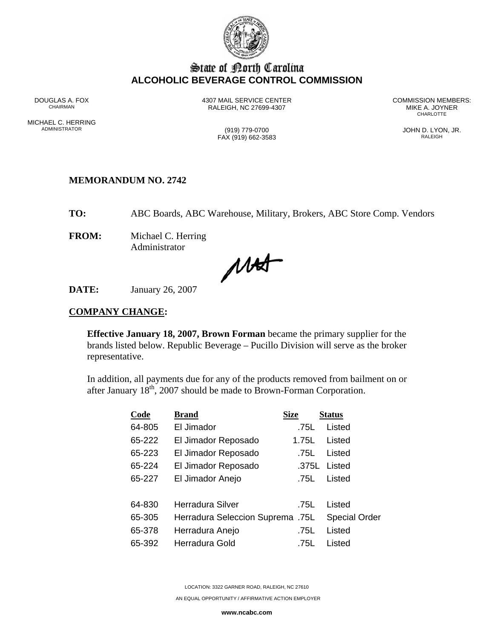

# State of Borth Carolina **ALCOHOLIC BEVERAGE CONTROL COMMISSION**

MICHAEL C. HERRING<br>ADMINISTRATOR

RALEIGH, NC 27699-4307 MIKE A. JOYNER AND MIKE A. JOYNER

DOUGLAS A. FOX 4307 MAIL SERVICE CENTER COMMISSION MEMBERS: **CHARLOTTE** 

> (919) 779-0700 (919) 779-0700 JOHN D. LYON, JR.  $FAX (919) 662-3583$

# **MEMORANDUM NO. 2742**

**TO:** ABC Boards, ABC Warehouse, Military, Brokers, ABC Store Comp. Vendors

**FROM:** Michael C. Herring Administrator

MAT

**DATE:** January 26, 2007

## **COMPANY CHANGE:**

**Effective January 18, 2007, Brown Forman** became the primary supplier for the brands listed below. Republic Beverage – Pucillo Division will serve as the broker representative.

In addition, all payments due for any of the products removed from bailment on or after January  $18<sup>th</sup>$ , 2007 should be made to Brown-Forman Corporation.

| Code   | <b>Brand</b>                     | <b>Size</b> | <b>Status</b>        |
|--------|----------------------------------|-------------|----------------------|
| 64-805 | El Jimador                       | .75L        | Listed               |
| 65-222 | El Jimador Reposado              | 1.75L       | Listed               |
| 65-223 | El Jimador Reposado              | .75L        | Listed               |
| 65-224 | El Jimador Reposado              | .375L       | Listed               |
| 65-227 | El Jimador Anejo                 | .75L        | Listed               |
|        |                                  |             |                      |
| 64-830 | Herradura Silver                 | .75L        | Listed               |
| 65-305 | Herradura Seleccion Suprema .75L |             | <b>Special Order</b> |
| 65-378 | Herradura Anejo                  | .75L        | Listed               |
| 65-392 | Herradura Gold                   | .75L        | Listed               |

LOCATION: 3322 GARNER ROAD, RALEIGH, NC 27610

AN EQUAL OPPORTUNITY / AFFIRMATIVE ACTION EMPLOYER